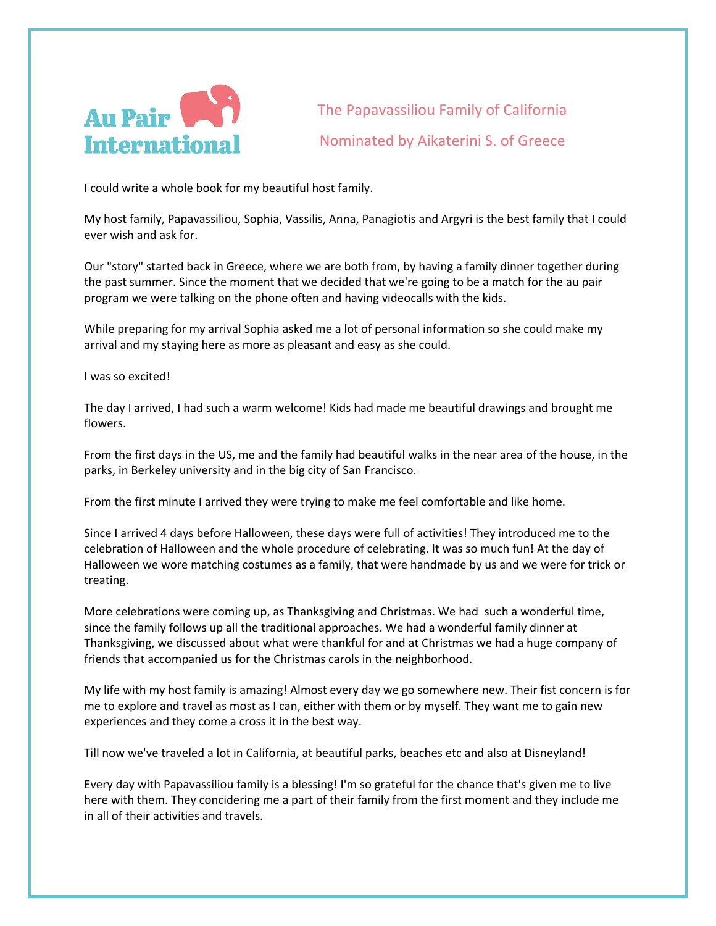

The Papavassiliou Family of California Nominated by Aikaterini S. of Greece

I could write a whole book for my beautiful host family.

My host family, Papavassiliou, Sophia, Vassilis, Anna, Panagiotis and Argyri is the best family that I could ever wish and ask for.

Our "story" started back in Greece, where we are both from, by having a family dinner together during the past summer. Since the moment that we decided that we're going to be a match for the au pair program we were talking on the phone often and having videocalls with the kids.

While preparing for my arrival Sophia asked me a lot of personal information so she could make my arrival and my staying here as more as pleasant and easy as she could.

I was so excited!

The day I arrived, I had such a warm welcome! Kids had made me beautiful drawings and brought me flowers.

From the first days in the US, me and the family had beautiful walks in the near area of the house, in the parks, in Berkeley university and in the big city of San Francisco.

From the first minute I arrived they were trying to make me feel comfortable and like home.

Since I arrived 4 days before Halloween, these days were full of activities! They introduced me to the celebration of Halloween and the whole procedure of celebrating. It was so much fun! At the day of Halloween we wore matching costumes as a family, that were handmade by us and we were for trick or treating.

More celebrations were coming up, as Thanksgiving and Christmas. We had such a wonderful time, since the family follows up all the traditional approaches. We had a wonderful family dinner at Thanksgiving, we discussed about what were thankful for and at Christmas we had a huge company of friends that accompanied us for the Christmas carols in the neighborhood.

My life with my host family is amazing! Almost every day we go somewhere new. Their fist concern is for me to explore and travel as most as I can, either with them or by myself. They want me to gain new experiences and they come a cross it in the best way.

Till now we've traveled a lot in California, at beautiful parks, beaches etc and also at Disneyland!

Every day with Papavassiliou family is a blessing! I'm so grateful for the chance that's given me to live here with them. They concidering me a part of their family from the first moment and they include me in all of their activities and travels.